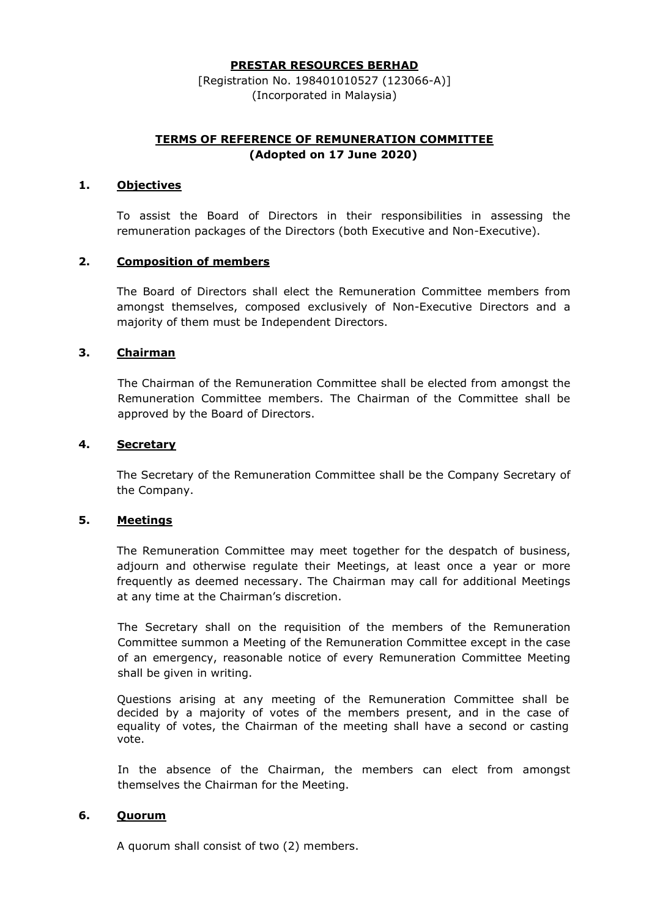#### PRESTAR RESOURCES BERHAD

[Registration No. 198401010527 (123066-A)] (Incorporated in Malaysia)

# TERMS OF REFERENCE OF REMUNERATION COMMITTEE (Adopted on 17 June 2020)

### 1. Objectives

To assist the Board of Directors in their responsibilities in assessing the remuneration packages of the Directors (both Executive and Non-Executive).

### 2. Composition of members

The Board of Directors shall elect the Remuneration Committee members from amongst themselves, composed exclusively of Non-Executive Directors and a majority of them must be Independent Directors.

## 3. Chairman

The Chairman of the Remuneration Committee shall be elected from amongst the Remuneration Committee members. The Chairman of the Committee shall be approved by the Board of Directors.

### 4. Secretary

The Secretary of the Remuneration Committee shall be the Company Secretary of the Company.

#### 5. Meetings

The Remuneration Committee may meet together for the despatch of business, adjourn and otherwise regulate their Meetings, at least once a year or more frequently as deemed necessary. The Chairman may call for additional Meetings at any time at the Chairman's discretion.

The Secretary shall on the requisition of the members of the Remuneration Committee summon a Meeting of the Remuneration Committee except in the case of an emergency, reasonable notice of every Remuneration Committee Meeting shall be given in writing.

Questions arising at any meeting of the Remuneration Committee shall be decided by a majority of votes of the members present, and in the case of equality of votes, the Chairman of the meeting shall have a second or casting vote.

In the absence of the Chairman, the members can elect from amongst themselves the Chairman for the Meeting.

### 6. Quorum

A quorum shall consist of two (2) members.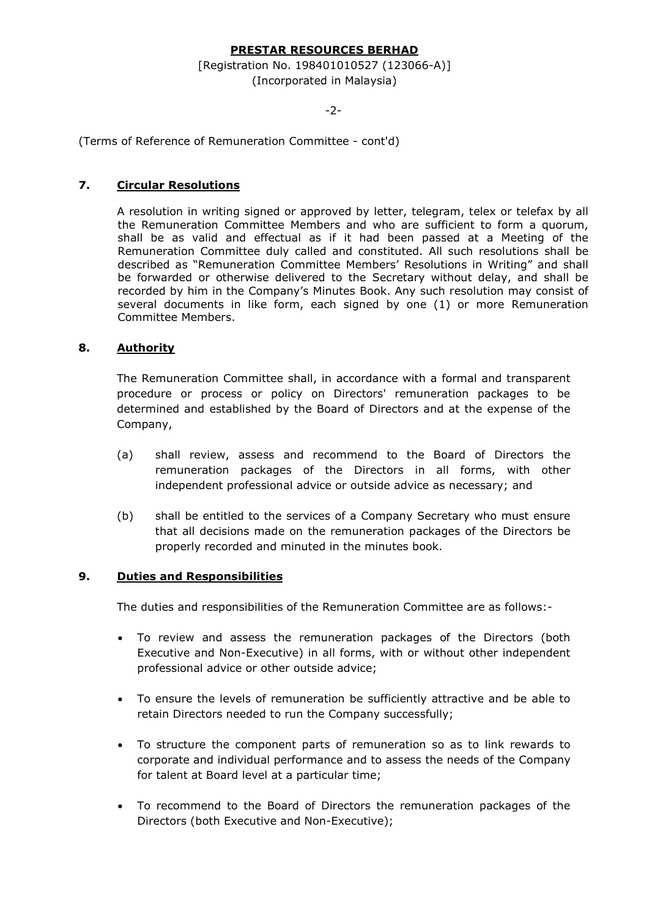## PRESTAR RESOURCES BERHAD

### [Registration No. 198401010527 (123066-A)] (Incorporated in Malaysia)

#### -2-

(Terms of Reference of Remuneration Committee - cont'd)

## 7. Circular Resolutions

A resolution in writing signed or approved by letter, telegram, telex or telefax by all the Remuneration Committee Members and who are sufficient to form a quorum, shall be as valid and effectual as if it had been passed at a Meeting of the Remuneration Committee duly called and constituted. All such resolutions shall be described as "Remuneration Committee Members' Resolutions in Writing" and shall be forwarded or otherwise delivered to the Secretary without delay, and shall be recorded by him in the Company's Minutes Book. Any such resolution may consist of several documents in like form, each signed by one (1) or more Remuneration Committee Members.

### 8. Authority

The Remuneration Committee shall, in accordance with a formal and transparent procedure or process or policy on Directors' remuneration packages to be determined and established by the Board of Directors and at the expense of the Company,

- (a) shall review, assess and recommend to the Board of Directors the remuneration packages of the Directors in all forms, with other independent professional advice or outside advice as necessary; and
- (b) shall be entitled to the services of a Company Secretary who must ensure that all decisions made on the remuneration packages of the Directors be properly recorded and minuted in the minutes book.

#### 9. Duties and Responsibilities

The duties and responsibilities of the Remuneration Committee are as follows:-

- To review and assess the remuneration packages of the Directors (both Executive and Non-Executive) in all forms, with or without other independent professional advice or other outside advice;
- To ensure the levels of remuneration be sufficiently attractive and be able to retain Directors needed to run the Company successfully;
- To structure the component parts of remuneration so as to link rewards to corporate and individual performance and to assess the needs of the Company for talent at Board level at a particular time;
- To recommend to the Board of Directors the remuneration packages of the Directors (both Executive and Non-Executive);